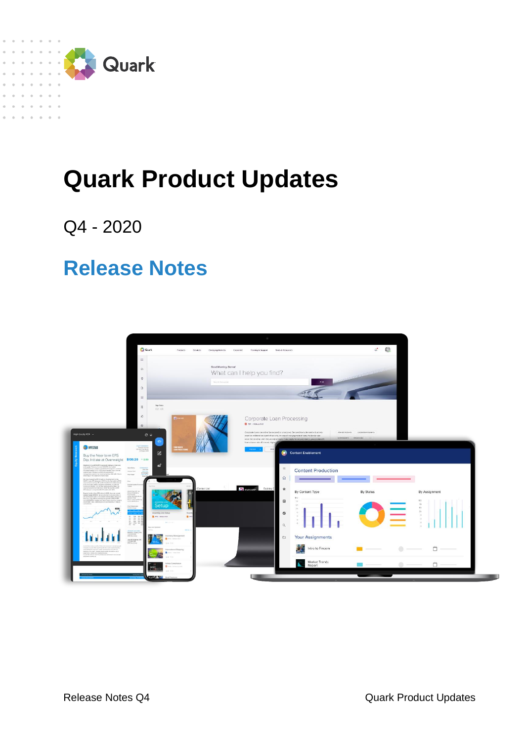

# **Quark Product Updates**

Q4 - 2020

## **Release Notes**

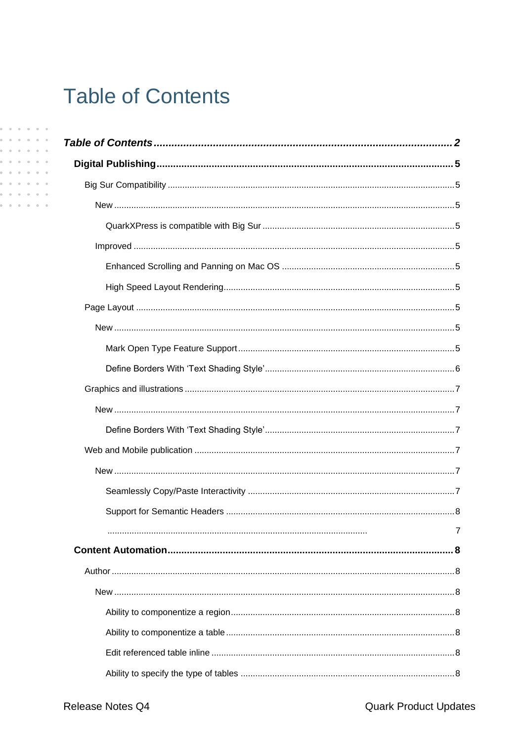## <span id="page-1-0"></span>**Table of Contents**

 $\begin{array}{cccccccccccccc} 0 & 0 & 0 & 0 & 0 & 0 & 0 & 0 \end{array}$  $\ddot{\phantom{a}}$ 

 $\cdots$ . . . . . .  $\begin{array}{ccccccccccccc} \bullet & \bullet & \bullet & \bullet & \bullet & \bullet & \bullet \end{array}$  $\begin{array}{ccccccccccccc} \bullet & \bullet & \bullet & \bullet & \bullet & \bullet & \bullet \end{array}$  $\begin{array}{ccccccccccccc} \bullet & \bullet & \bullet & \bullet & \bullet & \bullet & \bullet & \bullet \end{array}$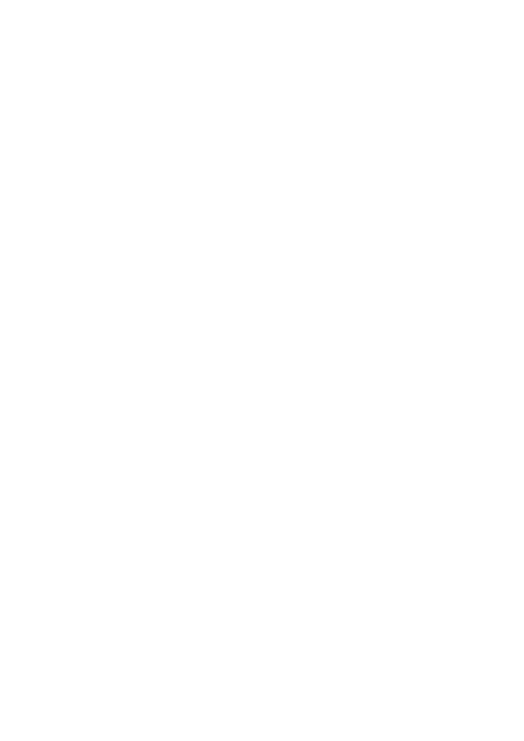## **Table of Contents**

| 醌                                                                                                               | 2 |
|-----------------------------------------------------------------------------------------------------------------|---|
| Digital Publishing members and the control of the control of the control of the control of the control of the c |   |
|                                                                                                                 |   |
|                                                                                                                 |   |
|                                                                                                                 |   |
|                                                                                                                 |   |
|                                                                                                                 |   |
|                                                                                                                 |   |
|                                                                                                                 |   |
|                                                                                                                 |   |
|                                                                                                                 |   |
| 'HILQH %RUGHUV :LWK µ.7.H.[.W6.K.D.G.L.Q.J6.W.\.Q.H.¶6                                                          |   |
|                                                                                                                 |   |
|                                                                                                                 |   |
| 'HILQH %RUGHUV :LWK µ.7.H.[.W6.K.D.G.L.Q.J6.W.\.Q.H.¶7                                                          |   |
|                                                                                                                 |   |
|                                                                                                                 |   |
|                                                                                                                 |   |
|                                                                                                                 |   |
|                                                                                                                 |   |
|                                                                                                                 |   |
|                                                                                                                 |   |
|                                                                                                                 |   |
|                                                                                                                 |   |
|                                                                                                                 |   |
|                                                                                                                 |   |
|                                                                                                                 |   |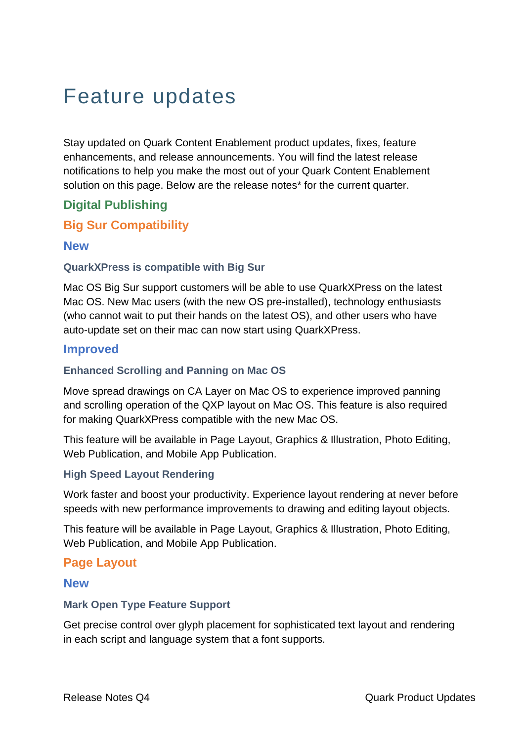## Feature updates

Stay updated on Quark Content Enablement product updates, fixes, feature enhancements, and release announcements. You will find the latest release notifications to help you make the most out of your Quark Content Enablement solution on this page. Below are the release notes<sup>\*</sup> for the current quarter.

## <span id="page-4-0"></span>**Digital Publishing**

## <span id="page-4-1"></span>**Big Sur Compatibility**

## <span id="page-4-2"></span>**New**

## <span id="page-4-3"></span>**QuarkXPress is compatible with Big Sur**

Mac OS Big Sur support customers will be able to use QuarkXPress on the latest Mac OS. New Mac users (with the new OS pre-installed), technology enthusiasts (who cannot wait to put their hands on the latest OS), and other users who have auto-update set on their mac can now start using QuarkXPress.

## <span id="page-4-4"></span>**Improved**

## <span id="page-4-5"></span>**Enhanced Scrolling and Panning on Mac OS**

Move spread drawings on CA Layer on Mac OS to experience improved panning and scrolling operation of the QXP layout on Mac OS. This feature is also required for making QuarkXPress compatible with the new Mac OS.

This feature will be available in Page Layout, Graphics & Illustration, Photo Editing, Web Publication, and Mobile App Publication.

## <span id="page-4-6"></span>**High Speed Layout Rendering**

Work faster and boost your productivity. Experience layout rendering at never before speeds with new performance improvements to drawing and editing layout objects.

This feature will be available in Page Layout, Graphics & Illustration, Photo Editing, Web Publication, and Mobile App Publication.

## <span id="page-4-7"></span>**Page Layout**

<span id="page-4-8"></span>**New**

## <span id="page-4-9"></span>**Mark Open Type Feature Support**

Get precise control over glyph placement for sophisticated text layout and rendering in each script and language system that a font supports.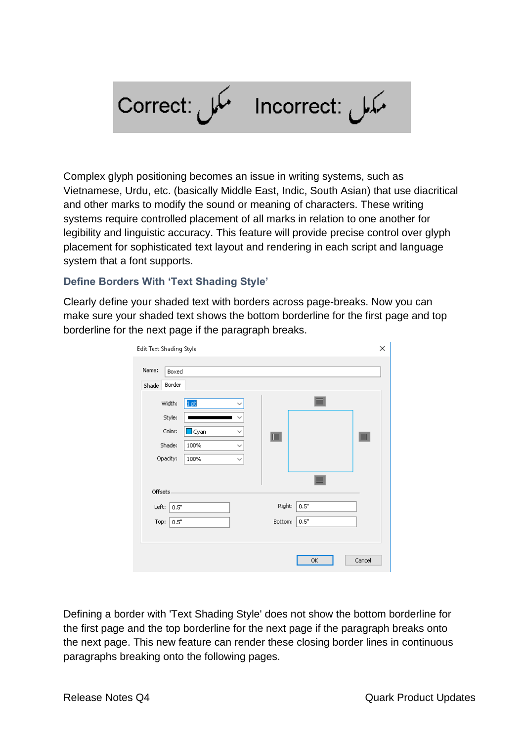

Complex glyph positioning becomes an issue in writing systems, such as Vietnamese, Urdu, etc. (basically Middle East, Indic, South Asian) that use diacritical and other marks to modify the sound or meaning of characters. These writing systems require controlled placement of all marks in relation to one another for legibility and linguistic accuracy. This feature will provide precise control over glyph placement for sophisticated text layout and rendering in each script and language system that a font supports.

## <span id="page-5-0"></span>**Define Borders With 'Text Shading Style'**

Clearly define your shaded text with borders across page-breaks. Now you can make sure your shaded text shows the bottom borderline for the first page and top borderline for the next page if the paragraph breaks.

| Edit Text Shading Style                           | × |
|---------------------------------------------------|---|
| Name:<br>Boxed                                    |   |
| Border<br>Shade                                   |   |
| Width:<br>1 pt<br>$\checkmark$                    |   |
| Style:<br>◡                                       |   |
| Color:<br>$\Box$ Cyan<br>$\checkmark$<br>ш<br>ш   |   |
| Shade:<br>100%<br>$\checkmark$                    |   |
| Opacity:<br>100%<br>$\checkmark$                  |   |
|                                                   |   |
| Offsets                                           |   |
| Right:<br>$0.5"$<br>Left:<br>0.5"                 |   |
| $0.5"$<br>$0.5\ensuremath{''}$<br>Bottom:<br>Top: |   |
|                                                   |   |
| Cancel<br>ОK                                      |   |

Defining a border with 'Text Shading Style' does not show the bottom borderline for the first page and the top borderline for the next page if the paragraph breaks onto the next page. This new feature can render these closing border lines in continuous paragraphs breaking onto the following pages.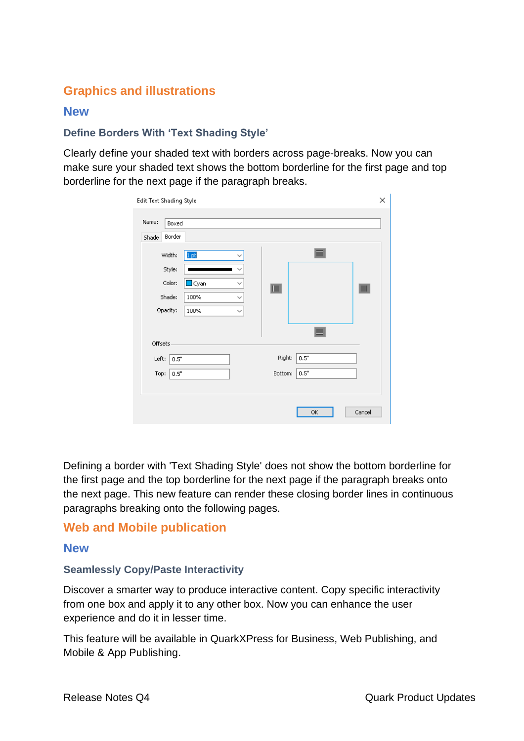## <span id="page-6-0"></span>**Graphics and illustrations**

## <span id="page-6-1"></span>**New**

## <span id="page-6-2"></span>**Define Borders With 'Text Shading Style'**

Clearly define your shaded text with borders across page-breaks. Now you can make sure your shaded text shows the bottom borderline for the first page and top borderline for the next page if the paragraph breaks.

| Edit Text Shading Style                    | ×            |
|--------------------------------------------|--------------|
| Name:<br>Boxed                             |              |
| Border<br>Shade                            |              |
| Width:<br>1 pt<br>$\checkmark$             |              |
| Style:<br>$\check{ }$                      |              |
| Color:<br>$\Box$ Cyan<br>$\checkmark$<br>Ш | ш            |
| Shade:<br>100%<br>$\checkmark$             |              |
| Opacity:<br>100%<br>$\checkmark$           |              |
|                                            |              |
| Offsets                                    |              |
| Right:<br>Left:<br>$0.5"$                  | $0.5"$       |
| $0.5^{\rm n}$<br>Bottom:<br>Top:           | $0.5"$       |
|                                            |              |
|                                            |              |
|                                            | Cancel<br>ОK |

Defining a border with 'Text Shading Style' does not show the bottom borderline for the first page and the top borderline for the next page if the paragraph breaks onto the next page. This new feature can render these closing border lines in continuous paragraphs breaking onto the following pages.

## <span id="page-6-3"></span>**Web and Mobile publication**

## <span id="page-6-4"></span>**New**

## <span id="page-6-5"></span>**Seamlessly Copy/Paste Interactivity**

Discover a smarter way to produce interactive content. Copy specific interactivity from one box and apply it to any other box. Now you can enhance the user experience and do it in lesser time.

This feature will be available in QuarkXPress for Business, Web Publishing, and Mobile & App Publishing.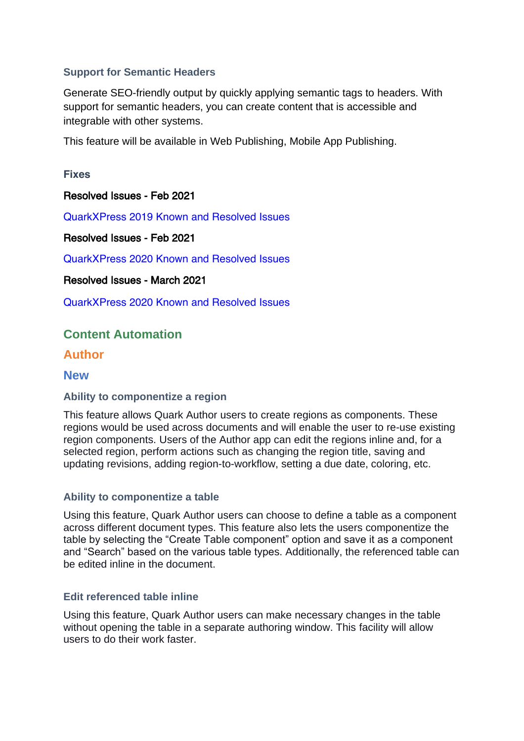## <span id="page-7-0"></span>**Support for Semantic Headers**

Generate SEO-friendly output by quickly applying semantic tags to headers. With support for semantic headers, you can create content that is accessible and integrable with other systems.

This feature will be available in Web Publishing, Mobile App Publishing.

<span id="page-7-1"></span>**Fixes**

<span id="page-7-2"></span>Resolved Issues - Feb 2021

<span id="page-7-3"></span>[QuarkXPress 2019 Known and Resolved Issues](https://www.quark.com/documentation/quarkxpress/2019/english/EN_QuarkXPress%202019%20Known%20and%20Resolved%20Issues/)

<span id="page-7-4"></span>Resolved Issues - Feb 2021

[QuarkXPress 2020 Known and Resolved Issues](https://www.quark.com/documentation/quarkxpress/2020/english/QuarkXPress%202020%20Known%20and%20Resolved%20Issues/)

Resolved Issues - March 2021

<span id="page-7-5"></span>[QuarkXPress 2020 Known and Resolved Issues](https://www.quark.com/documentation/quarkxpress/2020/english/QuarkXPress%202020%20Known%20and%20Resolved%20Issues/)

## **Content Automation**

## **Author**

**New** 

## **Ability to componentize a region**

<span id="page-7-6"></span>This feature allows Quark Author users to create regions as components. These regions would be used across documents and will enable the user to re-use existing region components. Users of the Author app can edit the regions inline and, for a selected region, perform actions such as changing the region title, saving and updating revisions, adding region-to-workflow, setting a due date, coloring, etc.

## <span id="page-7-7"></span>**Ability to componentize a table**

Using this feature, Quark Author users can choose to define a table as a component across different document types. This feature also lets the users componentize the table by selecting the "Create Table component" option and save it as a component and "Search" based on the various table types. Additionally, the referenced table can be edited inline in the document.

#### **Edit referenced table inline**

Using this feature, Quark Author users can make necessary changes in the table without opening the table in a separate authoring window. This facility will allow users to do their work faster.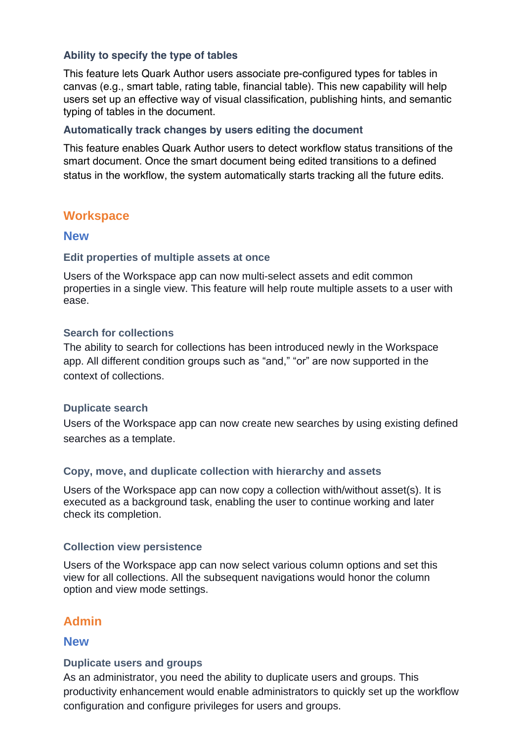## **Ability to specify the type of tables**

<span id="page-8-1"></span><span id="page-8-0"></span>This feature lets Quark Author users associate pre-configured types for tables in canvas (e.g., smart table, rating table, financial table). This new capability will help users set up an effective way of visual classification, publishing hints, and semantic typing of tables in the document.

## **Automatically track changes by users editing the document**

<span id="page-8-2"></span>This feature enables Quark Author users to detect workflow status transitions of the smart document. Once the smart document being edited transitions to a defined status in the workflow, the system automatically starts tracking all the future edits.

## **Workspace**

## **New**

#### <span id="page-8-3"></span>**Edit properties of multiple assets at once**

Users of the Workspace app can now multi-select assets and edit common properties in a single view. This feature will help route multiple assets to a user with ease.

## <span id="page-8-4"></span>**Search for collections**

The ability to search for collections has been introduced newly in the Workspace app. All different condition groups such as "and," "or" are now supported in the context of collections.

## <span id="page-8-5"></span>**Duplicate search**

Users of the Workspace app can now create new searches by using existing defined searches as a template.

## <span id="page-8-6"></span>**Copy, move, and duplicate collection with hierarchy and assets**

<span id="page-8-8"></span><span id="page-8-7"></span>Users of the Workspace app can now copy a collection with/without asset(s). It is executed as a background task, enabling the user to continue working and later check its completion.

#### **Collection view persistence**

Users of the Workspace app can now select various column options and set this view for all collections. All the subsequent navigations would honor the column option and view mode settings.

## **Admin**

## **New**

#### **Duplicate users and groups**

As an administrator, you need the ability to duplicate users and groups. This productivity enhancement would enable administrators to quickly set up the workflow configuration and configure privileges for users and groups.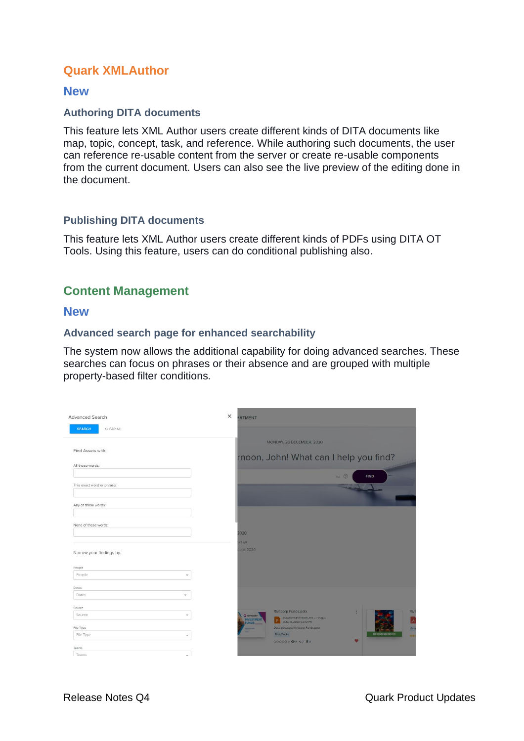## <span id="page-9-0"></span>**Quark XMLAuthor**

## <span id="page-9-1"></span>**New**

#### <span id="page-9-2"></span>**Authoring DITA documents**

This feature lets XML Author users create different kinds of DITA documents like map, topic, concept, task, and reference. While authoring such documents, the user can reference re-usable content from the server or create re-usable components from the current document. Users can also see the live preview of the editing done in the document.

#### <span id="page-9-3"></span>**Publishing DITA documents**

This feature lets XML Author users create different kinds of PDFs using DITA OT Tools. Using this feature, users can do conditional publishing also.

## <span id="page-9-4"></span>**Content Management**

#### <span id="page-9-5"></span>**New**

#### <span id="page-9-6"></span>**Advanced search page for enhanced searchability**

The system now allows the additional capability for doing advanced searches. These searches can focus on phrases or their absence and are grouped with multiple property-based filter conditions.

| Advanced Search                   | $\times$ | ARTMENT                                                                                                    |
|-----------------------------------|----------|------------------------------------------------------------------------------------------------------------|
| CLEAR ALL<br><b>SEARCH</b>        |          |                                                                                                            |
| Find Assets with:                 |          | MONDAY, 28 DECEMBER, 2020                                                                                  |
| All these words:                  |          | rnoon, John! What can I help you find?                                                                     |
|                                   |          | <b>菲 ②</b><br><b>FIND</b>                                                                                  |
| This exact word or phrase:        |          |                                                                                                            |
| Any of these words:               |          |                                                                                                            |
| None of these words:              |          |                                                                                                            |
|                                   |          | 2020<br>$42$ AM                                                                                            |
| Narrow your findings by:          |          | book 2020                                                                                                  |
| People                            |          |                                                                                                            |
| People                            |          |                                                                                                            |
| Dates                             |          |                                                                                                            |
| Dates<br>$\checkmark$             |          |                                                                                                            |
| Source                            |          |                                                                                                            |
| Source<br>÷                       |          | ÷<br>Rivacorp Funds.potx<br>Riva<br>$Q$ <i>mmcom</i><br>POWERPOINTTEMPLATE - 11 Pages<br><b>INVESTMENT</b> |
| File Type                         |          | AUG 18, 2020 02:42 PM<br><b>FUNDS</b><br>Desc updated: Rivacorp Funds.potx<br>Ass                          |
| File Type                         |          | RECOMMENDED<br>Pitch Decks<br>m                                                                            |
| Teams                             |          | o<br>☆☆☆☆☆ 0 ◎ 0 <0 ± 0                                                                                    |
| Teams<br>$\overline{\phantom{a}}$ |          |                                                                                                            |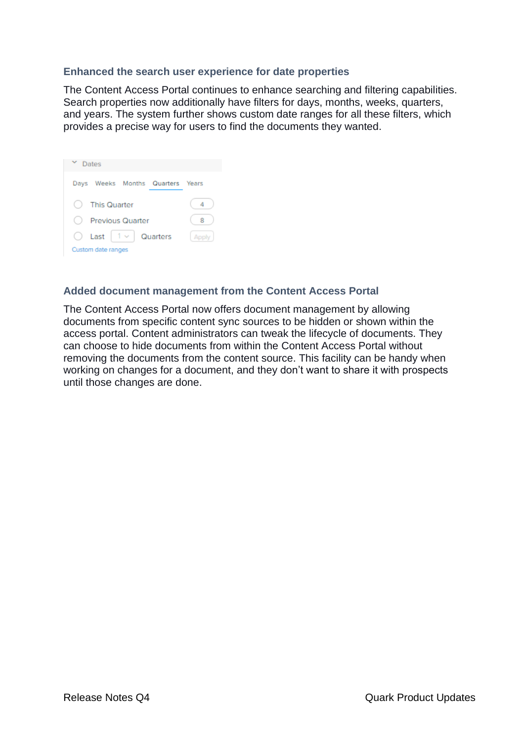## <span id="page-10-0"></span>**Enhanced the search user experience for date properties**

The Content Access Portal continues to enhance searching and filtering capabilities. Search properties now additionally have filters for days, months, weeks, quarters, and years. The system further shows custom date ranges for all these filters, which provides a precise way for users to find the documents they wanted.

| Dates                            |   |
|----------------------------------|---|
| Days Weeks Months Quarters Years |   |
| <b>This Quarter</b>              |   |
| <b>Previous Quarter</b>          | 8 |
| $1 \vee$<br>Quarters<br>Last     |   |
| Custom date ranges               |   |

## <span id="page-10-1"></span>**Added document management from the Content Access Portal**

The Content Access Portal now offers document management by allowing documents from specific content sync sources to be hidden or shown within the access portal. Content administrators can tweak the lifecycle of documents. They can choose to hide documents from within the Content Access Portal without removing the documents from the content source. This facility can be handy when working on changes for a document, and they don't want to share it with prospects until those changes are done.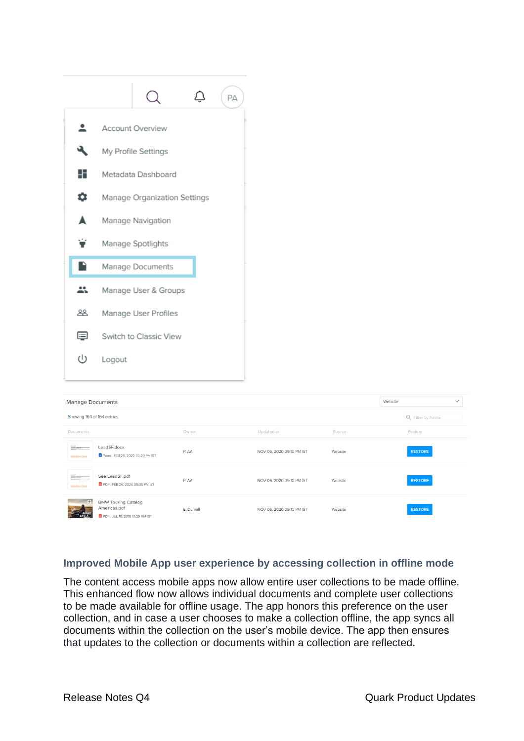

| <b>Manage Documents</b>                                                                                    |                                                                              |            |                           |         |  |                  | $\checkmark$ |
|------------------------------------------------------------------------------------------------------------|------------------------------------------------------------------------------|------------|---------------------------|---------|--|------------------|--------------|
| Showing 164 of 164 entries                                                                                 |                                                                              |            |                           |         |  | Q Filter by Name |              |
| <b>Documents</b>                                                                                           |                                                                              | Owner      | <b>Updated at</b>         | Source  |  | Restore          |              |
| <b>Information</b> entered<br><b>Solution Card</b>                                                         | LeadSF.docx<br>Word . FEB 26, 2020 05:20 PM IST                              | P. AA      | NOV 06, 2020 09:10 PM IST | Website |  | <b>RESTORE</b>   |              |
| International Constitution of the American<br><b>MOLINEAU CLEAR WOMEN AND REAL</b><br><b>Solution Card</b> | See LeadSF.pdf<br>PDF . FEB 26, 2020 05:35 PM IST                            | P. AA      | NOV 06, 2020 09:10 PM IST | Website |  | <b>RESTORE</b>   |              |
|                                                                                                            | <b>BMW Touring Catalog</b><br>Americas.pdf<br>PDF. JUL 18, 2019 10:29 AM IST | E. Du Vall | NOV 06, 2020 09:10 PM IST | Website |  | <b>RESTORE</b>   |              |

## <span id="page-11-0"></span>**Improved Mobile App user experience by accessing collection in offline mode**

The content access mobile apps now allow entire user collections to be made offline. This enhanced flow now allows individual documents and complete user collections to be made available for offline usage. The app honors this preference on the user collection, and in case a user chooses to make a collection offline, the app syncs all documents within the collection on the user's mobile device. The app then ensures that updates to the collection or documents within a collection are reflected.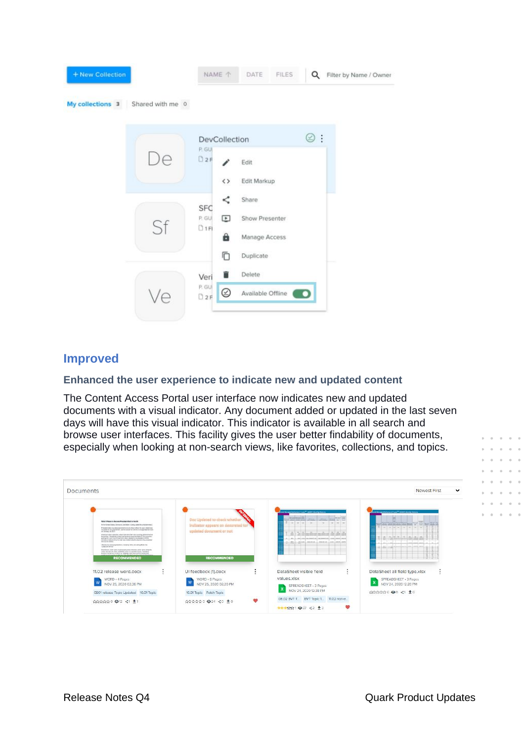| + New Collection |                               |                                                        | NAME 1                                | DATE                                                                         | <b>FILES</b> | Q                | Filter by Name / Owner |
|------------------|-------------------------------|--------------------------------------------------------|---------------------------------------|------------------------------------------------------------------------------|--------------|------------------|------------------------|
| My collections 3 | Shared with me o<br>De.<br>Sf | DevCollection<br>P. GUI<br>D2F<br>SFC<br>P. GU<br>01F1 | $\leftrightarrow$<br>≺<br>⊡<br>â<br>Ō | Edit<br>Edit Markup<br>Share<br>Show Presenter<br>Manage Access<br>Duplicate |              | $\circledcirc$ : |                        |
|                  |                               | Veri<br>P. GU<br>D2F                                   | 匿<br>☺                                | Delete<br>Available Offline                                                  |              |                  |                        |

## <span id="page-12-0"></span>**Improved**

## **Enhanced the user experience to indicate new and updated content**

<span id="page-12-1"></span>The Content Access Portal user interface now indicates new and updated documents with a visual indicator. Any document added or updated in the last seven days will have this visual indicator. This indicator is available in all search and browse user interfaces. This facility gives the user better findability of documents, especially when looking at non-search views, like favorites, collections, and topics.



 $\alpha$  $\alpha$  $\ddot{\phantom{a}}$ 

 $\mathcal{L}$  $\alpha$  $\overline{a}$ 

 $\alpha$  $\sim$   $\sim$  $\sim$  $\sim$   $-$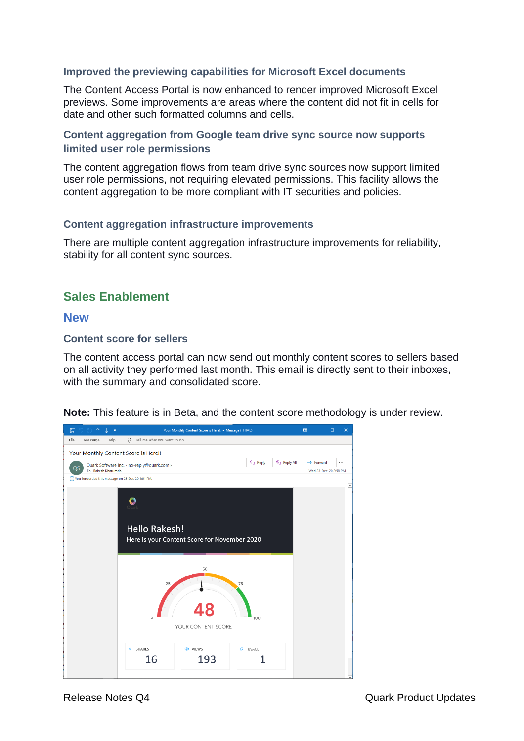## <span id="page-13-0"></span>**Improved the previewing capabilities for Microsoft Excel documents**

The Content Access Portal is now enhanced to render improved Microsoft Excel previews. Some improvements are areas where the content did not fit in cells for date and other such formatted columns and cells.

## <span id="page-13-1"></span>**Content aggregation from Google team drive sync source now supports limited user role permissions**

The content aggregation flows from team drive sync sources now support limited user role permissions, not requiring elevated permissions. This facility allows the content aggregation to be more compliant with IT securities and policies.

#### <span id="page-13-2"></span>**Content aggregation infrastructure improvements**

There are multiple content aggregation infrastructure improvements for reliability, stability for all content sync sources.

## <span id="page-13-3"></span>**Sales Enablement**

<span id="page-13-4"></span>**New**

#### <span id="page-13-5"></span>**Content score for sellers**

The content access portal can now send out monthly content scores to sellers based on all activity they performed last month. This email is directly sent to their inboxes, with the summary and consolidated score.

**Note:** This feature is in Beta, and the content score methodology is under review.

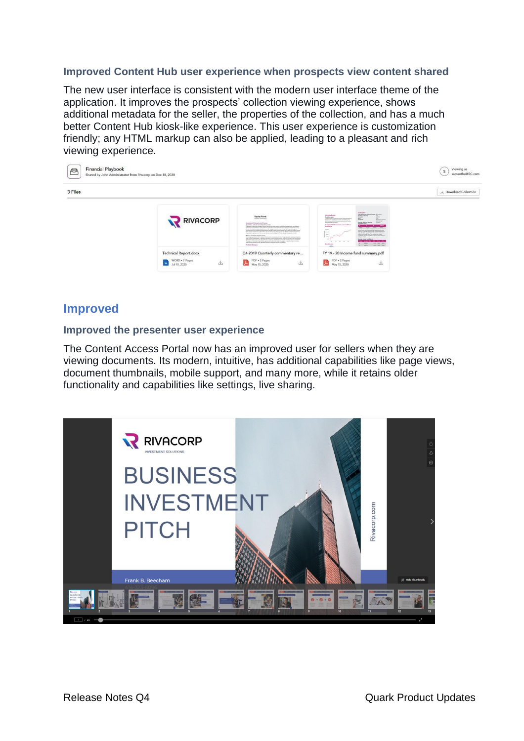## **Improved Content Hub user experience when prospects view content shared**

The new user interface is consistent with the modern user interface theme of the application. It improves the prospects' collection viewing experience, shows additional metadata for the seller, the properties of the collection, and has a much better Content Hub kiosk-like experience. This user experience is customization friendly; any HTML markup can also be applied, leading to a pleasant and rich viewing experience.



## **Improved**

#### **Improved the presenter user experience**

The Content Access Portal now has an improved user for sellers when they are viewing documents. Its modern, intuitive, has additional capabilities like page views, document thumbnails, mobile support, and many more, while it retains older functionality and capabilities like settings, live sharing.

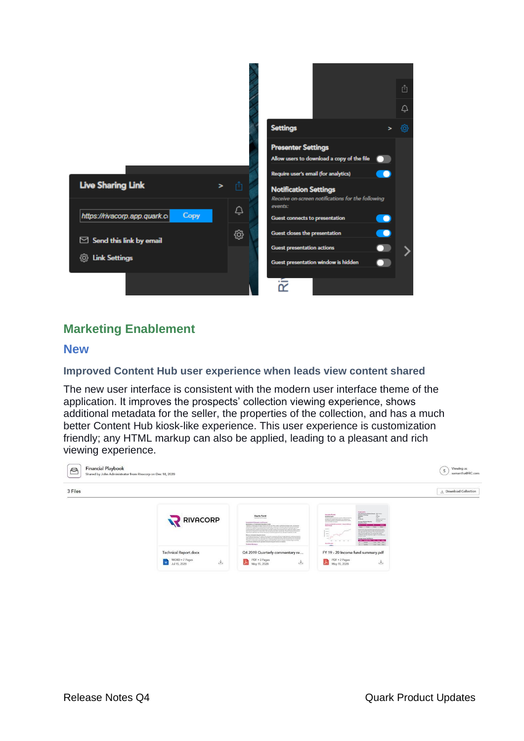

## **Marketing Enablement**

## **New**

## **Improved Content Hub user experience when leads view content shared**

The new user interface is consistent with the modern user interface theme of the application. It improves the prospects' collection viewing experience, shows additional metadata for the seller, the properties of the collection, and has a much better Content Hub kiosk-like experience. This user experience is customization friendly; any HTML markup can also be applied, leading to a pleasant and rich viewing experience.

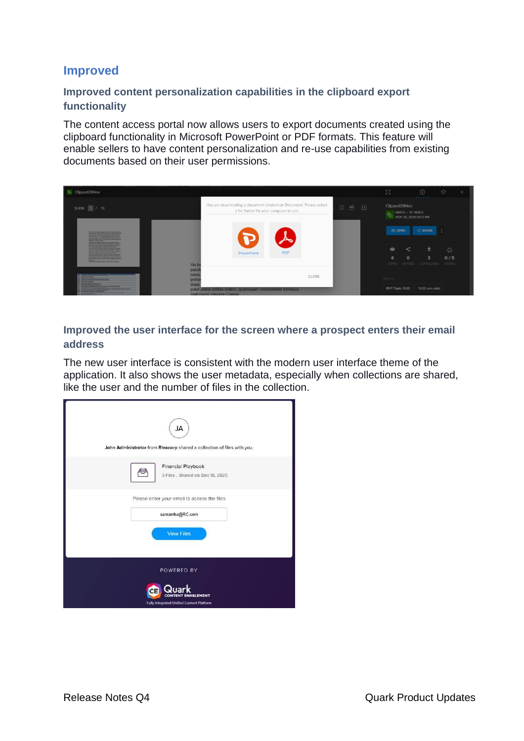## **Improved**

## **Improved content personalization capabilities in the clipboard export functionality**

The content access portal now allows users to export documents created using the clipboard functionality in Microsoft PowerPoint or PDF formats. This feature will enable sellers to have content personalization and re-use capabilities from existing documents based on their user permissions.



## **Improved the user interface for the screen where a prospect enters their email address**

The new user interface is consistent with the modern user interface theme of the application. It also shows the user metadata, especially when collections are shared, like the user and the number of files in the collection.

| JA<br>John Administrator from Rivacorp shared a collection of files with you.                      |
|----------------------------------------------------------------------------------------------------|
| Financial Playbook<br>3 Files . Shared on: Dec 18, 2020                                            |
| Please enter your email to access the files<br>samantha@RC.com<br><b>View Files</b>                |
| <b>POWERED BY</b><br>uark<br><b>ENABLEMENT</b><br><b>Fully Integrated Unified Content Platform</b> |